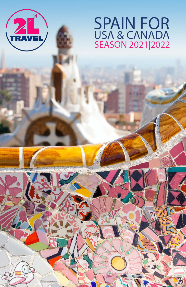

# **SPAIN FOR** USA & CANADA<br>SEASON 2021 2022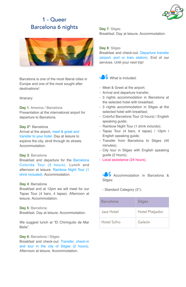

# 1 - Queer Barcelona 6 nights



Barcelona is one of the most liberal cities in Europe and one of the most sought after destinations!

Itinerary:

**Day 1**: America / Barcelona Presentation at the international airport for departure to Barcelona.

# **Day 2º**: Barcelona

Arrival at the airport, meet & great and transfer to your hotel. Day at leisure to explore the city, stroll through its streets. Accommodation.

#### **Day 3**: Barcelona

Breakfast and departure for the Barcelona Colorida Tour (3 hours). Lunch and afternoon at leisure. Rainbow Night Tour (1 drink included). Accommodation.

#### **Day 4**: Barcelona

Breakfast and at 12pm we will meet for our Tapas Tour (4 bars, 4 tapas). Afternoon at leisure. Accommodation.

# **Day 5**: Barcelona

Breakfast. Day at leisure. Accommodation.

We suggest lunch at "El Chiringuito de Mar Bella".

# **Day 6: Barcelona | Sitges**

Breakfast and check-out. Transfer, check-in and tour in the city of Sitges (2 hours). Afternoon at leisure. Accommodation.

**Day 7**: Sitges Breakfast. Day at leisure. Accommodation.

# **Day 8**: Sitges

Breakfast and check-out. Departure transfer (airport, port or train station). End of our services. Until your next trip!



# What is included:

- Meet & Greet at the airport;
- Arrival and departure transfer;
- 3 nights accommodation in Barcelona at the selected hotel with breakfast;
- 3 nights accommodation in Sitges at the selected hotel with breakfast;
- Colorful Barcelona Tour (3 hours) | English speaking guide;
- Rainbow Night Tour (1 drink incluído);
- Tapas Tour (4 bars, 4 tapas) / 12pm | English speaking guide;
- Transfer from Barcelona to Sitges (40 minutes);
- City tour in Sitges with English speaking guide (2 hours);
- Local assistance (24 hours).

Accommodation in Barcelona & Sitges:

- Standard Category (3\*):

| Barcelona  | <b>Sitges</b>   |
|------------|-----------------|
| Jazz Hotel | Hotel Platjador |
| Hotel Soho | Galeón          |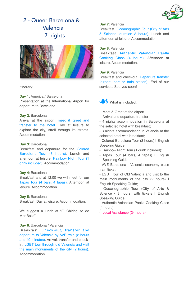

# 2 - Queer Barcelona & Valencia 7 nights*3535*



Itinerary:

**Day 1**: America / Barcelona Presentation at the International Airport for departure to Barcelona.

# **Day 2**: Barcelona

Arrival at the airport, meet & greet and transfer to the hotel. Day at leisure to explore the city, stroll through its streets. Accommodation.

#### **Day 3**: Barcelona

Breakfast and departure for the Colored Barcelona Tour (3 hours). Lunch and afternoon at leisure. Rainbow Night Tour (1 drink included). Accommodation.

# **Day 4**: Barcelona

Breakfast and at 12:00 we will meet for our Tapas Tour (4 bars, 4 tapas). Afternoon at leisure. Accommodation.

## **Day 5**: Barcelona

Breakfast. Day at leisure. Accommodation.

We suggest a lunch at "El Chiringuito de Mar Bella".

#### **Day 6**: Barcelona / Valencia

Breakfast. Check-out, transfer and departure to Valencia by AVE train (2 hours and 40 minutes). Arrival, transfer and checkin. LGBT tour through old Valencia and visit the main monuments of the city (2 hours). Accommodation.

# **Day 7**: Valencia

Breakfast. Oceanographic Tour (City of Arts & Science, duration 3 hours). Lunch and afternoon at leisure. Accommodation.

# **Day 8**: Valencia

Breakfast. Authentic Valencian Paella Cooking Class (4 hours). Afternoon at leisure. Accommodation.

# **Day 9**: Valencia

Breakfast and checkout. Departure transfer (airport, port or train station). End of our services. See you soon!



- Meet & Greet at the airport;
- Arrival and departure transfer;
- 4 nights accommodation in Barcelona at the selected hotel with breakfast;
- 3 nights accommodation in Valencia at the selected hotel with breakfast;
- Colored Barcelona Tour (3 hours) | English Speaking Guide;
- Rainbow Night Tour (1 drink included);
- Tapas Tour (4 bars, 4 tapas) I English Speaking Guide;
- AVE Barcelona Valencia economy class train ticket;
- LGBT Tour of Old Valencia and visit to the main monuments of the city (2 hours) I English Speaking Guide;
- Oceanographic Tour (City of Arts & Science - 3 hours) with tickets I English Speaking Guide;
- Authentic Valencian Paella Cooking Class (4 hours);

- Local Assistance (24 hours).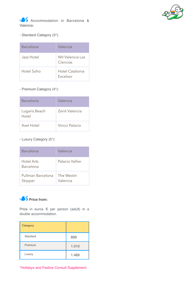

Accommodation in Barcelona & Valencia:

- Standard Category (3\*):

| Barcelona  | Valencia                    |
|------------|-----------------------------|
| Jazz Hotel | NH Valencia Las<br>Ciencias |
| Hotel Soho | Hotel Catalonia<br>Excelsor |

- Premium Category (4\*):

| Barcelona              | Valencia       |
|------------------------|----------------|
| Lugaris Beach<br>Hotel | Zenit Valencia |
| Axel Hotel             | Vincci Palacio |

- Luxury Category (5\*):

| Barcelona                    | Valencia               |
|------------------------------|------------------------|
| Hotel Arts<br>Barcelona      | Palacio Vallier        |
| Pullman Barcelona<br>Skipper | The Westin<br>Valencia |



Price in euros € per person (adult) in a double accommodation.

| <b>Category</b> |       |
|-----------------|-------|
| Standard        | 899   |
| Premium         | 1.010 |
| Luxury          | 1.489 |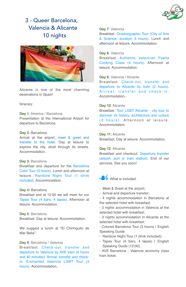

# 3 - Queer Barcelona. Valencia & Alicante 10 nights*4444*



Alicante is one of the most charming destinations in Spain!

Itinerary:

**Day 1**: America / Barcelona Presentation at the International Airport for departure to Barcelona.

## **Day 2**: Barcelona

Arrival at the airport, meet & greet and transfer to the hotel. Day at leisure to explore the city, stroll through its streets. Accommodation.

#### **Day 3**: Barcelona

Breakfast and departure for the Barcelona Color Tour (3 hours). Lunch and afternoon at leisure. Rainbow Night Tour (1 drink included). Accommodation.

#### **Day 4:** Barcelona

Breakfast and at 12:00 we will meet for our Tapas Tour (4 bars, 4 tapas). Afternoon at leisure. Accommodation.

# **Day 5**: Barcelona

Breakfast. Day at leisure. Accommodation.

We suggest a lunch at "El Chiringuito de Mar Bella".

# **Day 6**: Barcelona / Valencia

Breakfast. Check-out, transfer and departure to Valencia by AVE train (2 hours and 40 minutes). Arrival, transfer and checkin. Enchanted Valencia LGBT Tour (3 hours). Accommodation.

#### **Day 7**: Valencia

Breakfast. Oceanographic Tour (City of Arts & Science, duration 3 hours). Lunch and afternoon at leisure. Accommodation.

## **Day 8**: Valencia

Breakfast. Authentic Valencian Paella Cooking Class (4 hours). Afternoon at leisure. Accommodation.

# **Day 9**: Valencia / Alicante

Breakfast. Check-out, transfer and departure to Alicante by train (2 hours). Arrival, transfer and check-in. **Accommodation** 

# **Day 10**: Alicante

Breakfast. Tour LGBT Alicante - city tour to discover its history, architecture and culture (3 hours). Afternoon at leisure. **Accommodation** 

**Day 11:** Alicante Breakfast. Day at leisure. Accommodation.

#### **Day 12**: Alicante

Breakfast and checkout. Departure transfer (airport, port or train station). End of our services. See you soon!



- Meet & Greet at the airport;
- Arrival and departure transfer;
- 4 nights accommodation in Barcelona at the selected hotel with breakfast;
- 3 nights accommodation in Valencia at the selected hotel with breakfast;

- 3 nights accommodation in Alicante at the selected hotel with breakfast;

- Colored Barcelona Tour (3 hours) | English Speaking Guide;

- Rainbow Night Tour (1 drink included);
- Tapas Tour (4 bars, 4 tapas) I English Speaking Guide (12:00);

- AVE Barcelona - Valencia economy class train ticket;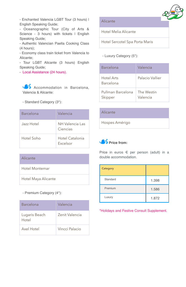- Enchanted Valencia LGBT Tour (3 hours) | English Speaking Guide;

- Oceanographic Tour (City of Arts & Science - 3 hours) with tickets I English Speaking Guide;

- Authentic Valencian Paella Cooking Class (4 hours);

- Economy class train ticket from Valencia to Alicante;

- Tour LGBT Alicante (3 hours) English Speaking Guide;

- Local Assistance (24 hours).

Accommodation in Barcelona, Valencia & Alicante:

- Standard Category (3\*):

| Barcelona  | Valencia                    |
|------------|-----------------------------|
| Jazz Hotel | NH Valencia Las<br>Ciencias |
| Hotel Soho | Hotel Catalonia<br>Excelsor |

Alicante

Hotel Montemar

Hotel Maya Alicante

- Premium Category (4\*):

| Barcelona              | Valencia       |
|------------------------|----------------|
| Lugaris Beach<br>Hotel | Zenit Valencia |
| Axel Hotel             | Vincci Palacio |



Hotel Melia Alicante

Hotel Sercotel Spa Porta Maris

- Luxury Category (5\*):

| Barcelona                    | Valencia               |
|------------------------------|------------------------|
| Hotel Arts<br>Barcelona      | Palacio Vallier        |
| Pullman Barcelona<br>Skipper | The Westin<br>Valencia |

# Alicante

Hospes Amérigo



Price in euros € per person (adult) in a double accommodation.

| Category |       |
|----------|-------|
| Standard | 1.398 |
| Premium  | 1.586 |
| Luxury   | 1.872 |

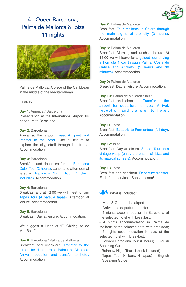

# 4 - Queer Barcelona, Palma de Mallorca & Ibiza 11 nights



Palma de Mallorca: A piece of the Caribbean in the middle of the Mediterranean.

Itinerary:

### **Day 1**: America / Barcelona

Presentation at the International Airport for departure to Barcelona.

# **Day 2**: Barcelona

Arrival at the airport, meet & greet and transfer to the hotel. Day at leisure to explore the city, stroll through its streets. Accommodation.

#### **Day 3**: Barcelona

Breakfast and departure for the Barcelona Color Tour (3 hours). Lunch and afternoon at leisure. Rainbow Night Tour (1 drink included). Accommodation.

## **Day 4**: Barcelona

Breakfast and at 12:00 we will meet for our Tapas Tour (4 bars, 4 tapas). Afternoon at leisure. Accommodation.

**Day 5**: Barcelona Breakfast. Day at leisure. Accommodation.

We suggest a lunch at "El Chiringuito de Mar Bella".

**Day 6**: Barcelona / Palma de Mallorca Breakfast and check-out. Transfer to the airport for departure to Palma de Mallorca. Arrival, reception and transfer to hotel. Accommodation.

Day 7: Palma de Mallorca Breakfast. Tour Mallorca in Colors through the main sights of the city (3 hours). **Accommodation** 

# **Day 8:** Palma de Mallorca

Breakfast. Morning and lunch at leisure. At 15:00 we will leave for a guided tour driving a Formula 1 car through Palma, Costa de Calvià and Andratx. (2 hours and 30 minutes). Accommodation.

**Day 9:** Palma de Mallorca Breakfast. Day at leisure. Accommodation.

**Day 10:** Palma de Mallorca / Ibiza Breakfast and checkout. Transfer to the airport for departure to Ibiza. Arrival, reception and transfer to hotel. **Accommodation** 

**Day 11:** Ibiza

Breakfast. Boat trip to Formentera (full day). Accommodation.

## **Day 12:** Ibiza

Breakfast. Day at leisure. Sunset Tour on a vintage wasp (enjoy the charm of Ibiza and its magical sunsets). Accommodation.

# **Day 13**: Ibiza

Breakfast and checkout. Departure transfer. End of our services. See you soon!



- Meet & Greet at the airport;
- Arrival and departure transfer;
- 4 nights accommodation in Barcelona at the selected hotel with breakfast;

- 4 nights accommodation in Palma de Mallorca at the selected hotel with breakfast; - 3 nights accommodation in Ibiza at the selected hotel with breakfast;

- Colored Barcelona Tour (3 hours) | English Speaking Guide;

- Rainbow Night Tour (1 drink included);
- Tapas Tour (4 bars, 4 tapas) | English Speaking Guide;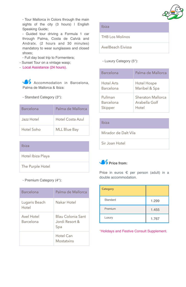

- Tour Mallorca in Colors through the main sights of the city (3 hours) I English Speaking Guide;

- Guided tour driving a Formula 1 car through Palma, Costa de Calvià and Andratx. (2 hours and 30 minutes) mandatory to wear sunglasses and closed shoes;

- Full day boat trip to Formentera;
- Sunset Tour on a vintage wasp;
- Local Assistance (24 hours).

Accommodation in Barcelona, Palma de Mallorca & Ibiza:

- Standard Category (3\*):

| Barcelona  | Palma de Mallorca   |
|------------|---------------------|
| Jazz Hotel | Hotel Costa Azul    |
| Hotel Soho | <b>MLL Blue Bay</b> |

| Ibiza             |
|-------------------|
| Hotel Ibiza Playa |
| The Purple Hotel  |

- Premium Category (4\*):

| Barcelona               | Palma de Mallorca                          |
|-------------------------|--------------------------------------------|
| Lugaris Beach<br>Hotel  | Nakar Hotel                                |
| Axel Hotel<br>Barcelona | Blau Colonia Sant<br>Jordi Resort &<br>Spa |
|                         | Hotel Can<br>Mostatxins                    |

Ibiza

THB Los Molinos

AxelBeach Eivissa

- Luxury Category (5\*):

| Barcelona  | Palma de Mallorca |
|------------|-------------------|
| Hotel Arts | Hotel Hospe       |
| Barcelona  | Maribel & Spa     |
| Pullman    | Sheraton Mallorca |
| Barcelona  | Arabella Golf     |
| Skipper    | Hotel             |

# Ibiza

Mirador de Dalt Vila

Sir Joan Hotel



Price in euros € per person (adult) in a double accommodation.

| Category |       |
|----------|-------|
| Standard | 1.299 |
| Premium  | 1.455 |
| Luxury   | 1.767 |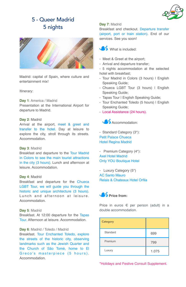

# 5 - Queer Madrid 5 nights



Madrid: capital of Spain, where culture and entertainment mix!

### Itinerary:

**Day 1**: America / Madrid Presentation at the International Airport for departure to Madrid.

# **Day 2**: Madrid

Arrival at the airport, meet & greet and transfer to the hotel. Day at leisure to explore the city, stroll through its streets. Accommodation.

#### **Day 3**: Madrid

Breakfast and departure to the Tour Madrid in Colors to see the main tourist attractions in the city (3 hours). Lunch and afternoon at leisure. Accommodation.

## **Day 4**: Madrid

Breakfast and departure for the Chueca LGBT Tour, we will guide you through the historic and unique architecture (3 hours). Lunch and afternoon at leisure. **Accommodation** 

#### **Day 5**: Madrid

Breakfast. At 12:00 departure for the Tapas Tour. Afternoon at leisure. Accommodation.

# **Day 6**: Madrid / Toledo / Madrid

Breakfast. Tour Enchanted Toledo, explore the streets of the historic city, observing landmarks such as the Jewish Quarter and the Church of São Tomé, home to El Greco's masterpiece (5 hours). **Accommodation** 

# **Day 7**: Madrid

Breakfast and checkout. Departure transfer (airport, port or train station). End of our services. See you soon!



- Meet & Greet at the airport;
- Arrival and departure transfer;
- 5 nights accommodation at the selected hotel with breakfast;
- Tour Madrid in Colors (3 hours) I English Speaking Guide;
- Chueca LGBT Tour (3 hours) | English Speaking Guide;
- Tapas Tour I English Speaking Guide;
- Tour Enchanted Toledo (5 hours) I English Speaking Guide;
- Local Assistance (24 hours).



- Standard Category (3\*): Petit Palace Chueca Hotel Regina Madrid

- Premium Category (4\*): Axel Hotel Madrid Only YOU Boutique Hotel

- Luxury Category (5\*) AC Santo Mauro Relais & Chateaux Hotel Orfila



Price in euros € per person (adult) in a double accommodation.

| <b>Category</b> |       |
|-----------------|-------|
| Standard        | 699   |
| Premium         | 799   |
| Luxury          | 1.075 |